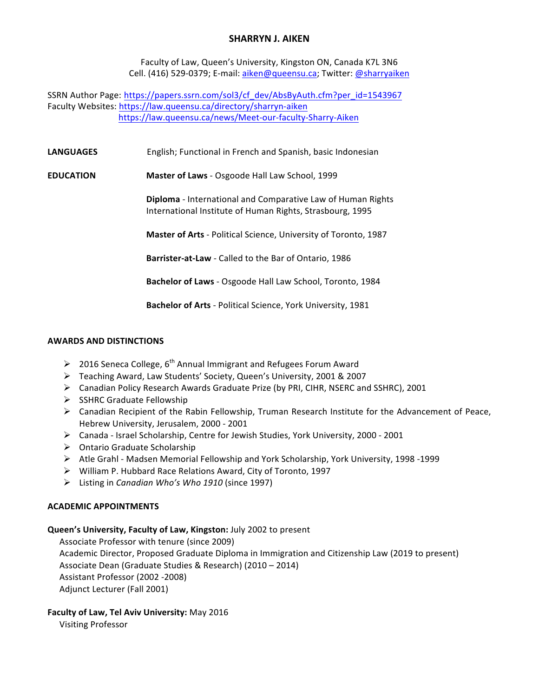## **SHARRYN J. AIKEN**

Faculty of Law, Queen's University, Kingston ON, Canada K7L 3N6 Cell. (416) 529-0379; E-mail: aiken@queensu.ca; Twitter: @sharryaiken

SSRN Author Page: https://papers.ssrn.com/sol3/cf\_dev/AbsByAuth.cfm?per\_id=1543967 Faculty Websites: https://law.queensu.ca/directory/sharryn-aiken https://law.queensu.ca/news/Meet-our-faculty-Sharry-Aiken

**LANGUAGES** English; Functional in French and Spanish, basic Indonesian

**EDUCATION Master of Laws** - Osgoode Hall Law School, 1999

**Diploma** - International and Comparative Law of Human Rights International Institute of Human Rights, Strasbourg, 1995

**Master of Arts** - Political Science, University of Toronto, 1987

**Barrister-at-Law** - Called to the Bar of Ontario, 1986

**Bachelor of Laws** - Osgoode Hall Law School, Toronto, 1984

**Bachelor of Arts** - Political Science, York University, 1981

#### **AWARDS AND DISTINCTIONS**

- > 2016 Seneca College,  $6^{th}$  Annual Immigrant and Refugees Forum Award
- > Teaching Award, Law Students' Society, Queen's University, 2001 & 2007
- $\triangleright$  Canadian Policy Research Awards Graduate Prize (by PRI, CIHR, NSERC and SSHRC), 2001
- $\triangleright$  SSHRC Graduate Fellowship
- $\triangleright$  Canadian Recipient of the Rabin Fellowship, Truman Research Institute for the Advancement of Peace, Hebrew University, Jerusalem, 2000 - 2001
- $\triangleright$  Canada Israel Scholarship, Centre for Jewish Studies, York University, 2000 2001
- $\triangleright$  Ontario Graduate Scholarship
- $\triangleright$  Atle Grahl Madsen Memorial Fellowship and York Scholarship, York University, 1998 -1999
- $\triangleright$  William P. Hubbard Race Relations Award, City of Toronto, 1997
- > Listing in *Canadian Who's Who 1910* (since 1997)

## **ACADEMIC APPOINTMENTS**

## **Queen's University, Faculty of Law, Kingston: July 2002 to present**

Associate Professor with tenure (since 2009) Academic Director, Proposed Graduate Diploma in Immigration and Citizenship Law (2019 to present) Associate Dean (Graduate Studies & Research) (2010 – 2014) Assistant Professor (2002 -2008) Adjunct Lecturer (Fall 2001)

## **Faculty of Law, Tel Aviv University: May 2016**

Visiting Professor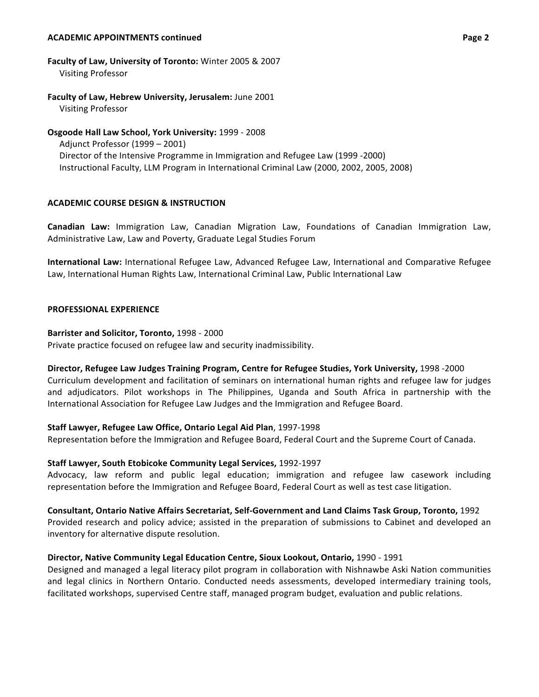#### **ACADEMIC APPOINTMENTS continued Page 2**

# **Faculty of Law, University of Toronto:** Winter 2005 & 2007

Visiting Professor

# **Faculty of Law, Hebrew University, Jerusalem: June 2001**

Visiting Professor

## **Osgoode Hall Law School, York University: 1999 - 2008**

Adjunct Professor (1999 - 2001) Director of the Intensive Programme in Immigration and Refugee Law (1999 -2000) Instructional Faculty, LLM Program in International Criminal Law (2000, 2002, 2005, 2008)

## **ACADEMIC COURSE DESIGN & INSTRUCTION**

**Canadian Law:** Immigration Law, Canadian Migration Law, Foundations of Canadian Immigration Law, Administrative Law, Law and Poverty, Graduate Legal Studies Forum

**International Law:** International Refugee Law, Advanced Refugee Law, International and Comparative Refugee Law, International Human Rights Law, International Criminal Law, Public International Law

#### **PROFESSIONAL EXPERIENCE**

#### **Barrister and Solicitor, Toronto, 1998 - 2000**

Private practice focused on refugee law and security inadmissibility.

## Director, Refugee Law Judges Training Program, Centre for Refugee Studies, York University, 1998 -2000

Curriculum development and facilitation of seminars on international human rights and refugee law for judges and adjudicators. Pilot workshops in The Philippines, Uganda and South Africa in partnership with the International Association for Refugee Law Judges and the Immigration and Refugee Board.

## **Staff Lawyer, Refugee Law Office, Ontario Legal Aid Plan, 1997-1998**

Representation before the Immigration and Refugee Board, Federal Court and the Supreme Court of Canada.

## **Staff Lawyer, South Etobicoke Community Legal Services, 1992-1997**

Advocacy, law reform and public legal education; immigration and refugee law casework including representation before the Immigration and Refugee Board, Federal Court as well as test case litigation.

**Consultant, Ontario Native Affairs Secretariat, Self-Government and Land Claims Task Group, Toronto,** 1992 Provided research and policy advice; assisted in the preparation of submissions to Cabinet and developed an inventory for alternative dispute resolution.

## **Director, Native Community Legal Education Centre, Sioux Lookout, Ontario, 1990 - 1991**

Designed and managed a legal literacy pilot program in collaboration with Nishnawbe Aski Nation communities and legal clinics in Northern Ontario. Conducted needs assessments, developed intermediary training tools, facilitated workshops, supervised Centre staff, managed program budget, evaluation and public relations.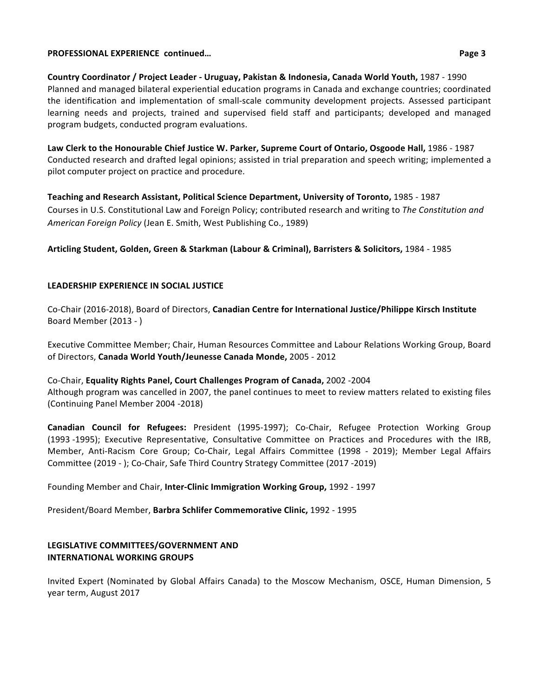#### **PROFESSIONAL EXPERIENCE continued... Page 3**

**Country Coordinator / Project Leader - Uruguay, Pakistan & Indonesia, Canada World Youth,** 1987 - 1990 Planned and managed bilateral experiential education programs in Canada and exchange countries; coordinated the identification and implementation of small-scale community development projects. Assessed participant learning needs and projects, trained and supervised field staff and participants; developed and managed program budgets, conducted program evaluations.

Law Clerk to the Honourable Chief Justice W. Parker, Supreme Court of Ontario, Osgoode Hall, 1986 - 1987 Conducted research and drafted legal opinions; assisted in trial preparation and speech writing; implemented a pilot computer project on practice and procedure.

**Teaching and Research Assistant, Political Science Department, University of Toronto,** 1985 - 1987 Courses in U.S. Constitutional Law and Foreign Policy; contributed research and writing to *The Constitution and* American Foreign Policy (Jean E. Smith, West Publishing Co., 1989)

**Articling Student, Golden, Green & Starkman (Labour & Criminal), Barristers & Solicitors,** 1984 - 1985

## **LEADERSHIP EXPERIENCE IN SOCIAL JUSTICE**

Co-Chair (2016-2018), Board of Directors, Canadian Centre for International Justice/Philippe Kirsch Institute Board Member (2013 - )

Executive Committee Member; Chair, Human Resources Committee and Labour Relations Working Group, Board of Directors, Canada World Youth/Jeunesse Canada Monde, 2005 - 2012

Co-Chair, **Equality Rights Panel, Court Challenges Program of Canada,** 2002 -2004 Although program was cancelled in 2007, the panel continues to meet to review matters related to existing files (Continuing Panel Member 2004 -2018)

**Canadian Council for Refugees:** President (1995-1997); Co-Chair, Refugee Protection Working Group (1993 -1995); Executive Representative, Consultative Committee on Practices and Procedures with the IRB, Member, Anti-Racism Core Group; Co-Chair, Legal Affairs Committee (1998 - 2019); Member Legal Affairs Committee (2019 - ); Co-Chair, Safe Third Country Strategy Committee (2017 -2019)

Founding Member and Chair, Inter-Clinic Immigration Working Group, 1992 - 1997

President/Board Member, **Barbra Schlifer Commemorative Clinic,** 1992 - 1995

## **LEGISLATIVE COMMITTEES/GOVERNMENT AND INTERNATIONAL WORKING GROUPS**

Invited Expert (Nominated by Global Affairs Canada) to the Moscow Mechanism, OSCE, Human Dimension, 5 year term, August 2017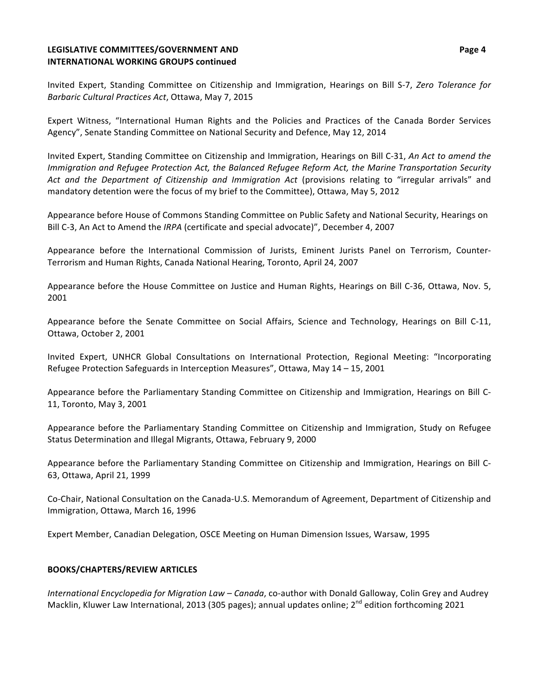## **LEGISLATIVE COMMITTEES/GOVERNMENT AND INTERNATIONAL WORKING GROUPS continued**

Invited Expert, Standing Committee on Citizenship and Immigration, Hearings on Bill S-7, Zero Tolerance for *Barbaric Cultural Practices Act*, Ottawa, May 7, 2015

Expert Witness, "International Human Rights and the Policies and Practices of the Canada Border Services Agency", Senate Standing Committee on National Security and Defence, May 12, 2014

Invited Expert, Standing Committee on Citizenship and Immigration, Hearings on Bill C-31, *An Act to amend the Immigration and Refugee Protection Act, the Balanced Refugee Reform Act, the Marine Transportation Security* Act and the Department of Citizenship and Immigration Act (provisions relating to "irregular arrivals" and mandatory detention were the focus of my brief to the Committee), Ottawa, May 5, 2012

Appearance before House of Commons Standing Committee on Public Safety and National Security, Hearings on Bill C-3, An Act to Amend the *IRPA* (certificate and special advocate)", December 4, 2007

Appearance before the International Commission of Jurists, Eminent Jurists Panel on Terrorism, Counter-Terrorism and Human Rights, Canada National Hearing, Toronto, April 24, 2007

Appearance before the House Committee on Justice and Human Rights, Hearings on Bill C-36, Ottawa, Nov. 5, 2001

Appearance before the Senate Committee on Social Affairs, Science and Technology, Hearings on Bill C-11, Ottawa, October 2, 2001

Invited Expert, UNHCR Global Consultations on International Protection, Regional Meeting: "Incorporating Refugee Protection Safeguards in Interception Measures", Ottawa, May  $14 - 15$ , 2001

Appearance before the Parliamentary Standing Committee on Citizenship and Immigration, Hearings on Bill C-11, Toronto, May 3, 2001

Appearance before the Parliamentary Standing Committee on Citizenship and Immigration, Study on Refugee Status Determination and Illegal Migrants, Ottawa, February 9, 2000

Appearance before the Parliamentary Standing Committee on Citizenship and Immigration, Hearings on Bill C-63, Ottawa, April 21, 1999

Co-Chair, National Consultation on the Canada-U.S. Memorandum of Agreement, Department of Citizenship and Immigration, Ottawa, March 16, 1996

Expert Member, Canadian Delegation, OSCE Meeting on Human Dimension Issues, Warsaw, 1995

## **BOOKS/CHAPTERS/REVIEW ARTICLES**

*International Encyclopedia for Migration Law – Canada,* co-author with Donald Galloway, Colin Grey and Audrey Macklin, Kluwer Law International, 2013 (305 pages); annual updates online;  $2^{nd}$  edition forthcoming 2021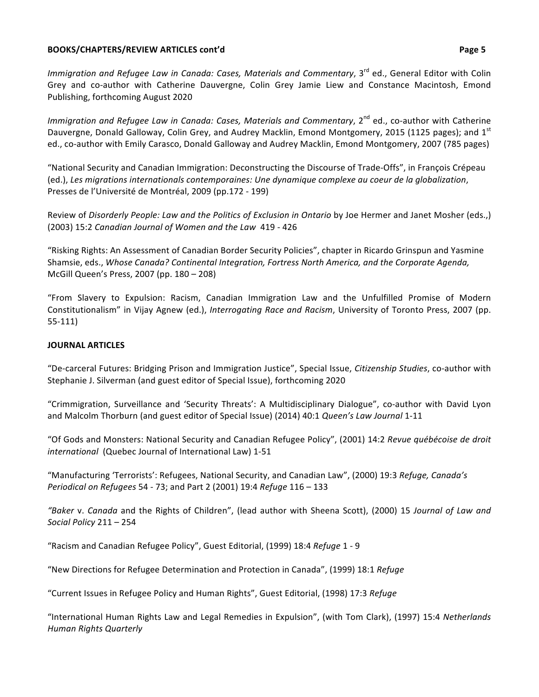#### **BOOKS/CHAPTERS/REVIEW ARTICLES cont'd** *Page 5*

*Immigration and Refugee Law in Canada: Cases, Materials and Commentary*, 3<sup>rd</sup> ed., General Editor with Colin Grey and co-author with Catherine Dauvergne, Colin Grey Jamie Liew and Constance Macintosh, Emond Publishing, forthcoming August 2020

*Immigration and Refugee Law in Canada: Cases, Materials and Commentary,* 2<sup>nd</sup> ed., co-author with Catherine Dauvergne, Donald Galloway, Colin Grey, and Audrey Macklin, Emond Montgomery, 2015 (1125 pages); and  $1^{st}$ ed., co-author with Emily Carasco, Donald Galloway and Audrey Macklin, Emond Montgomery, 2007 (785 pages)

"National Security and Canadian Immigration: Deconstructing the Discourse of Trade-Offs", in François Crépeau (ed.), Les migrations internationals contemporaines: Une dynamique complexe au coeur de la globalization, Presses de l'Université de Montréal, 2009 (pp.172 - 199)

Review of *Disorderly People: Law and the Politics of Exclusion in Ontario* by Joe Hermer and Janet Mosher (eds.,) (2003) 15:2 Canadian Journal of Women and the Law 419 - 426

"Risking Rights: An Assessment of Canadian Border Security Policies", chapter in Ricardo Grinspun and Yasmine Shamsie, eds., *Whose Canada? Continental Integration, Fortress North America, and the Corporate Agenda,* McGill Queen's Press, 2007 (pp. 180 – 208)

"From Slavery to Expulsion: Racism, Canadian Immigration Law and the Unfulfilled Promise of Modern Constitutionalism" in Vijay Agnew (ed.), *Interrogating Race and Racism*, University of Toronto Press, 2007 (pp. 55-111)

# **JOURNAL ARTICLES**

"De-carceral Futures: Bridging Prison and Immigration Justice", Special Issue, *Citizenship Studies*, co-author with Stephanie J. Silverman (and guest editor of Special Issue), forthcoming 2020

"Crimmigration, Surveillance and 'Security Threats': A Multidisciplinary Dialogue", co-author with David Lyon and Malcolm Thorburn (and guest editor of Special Issue) (2014) 40:1 Queen's Law Journal 1-11

"Of Gods and Monsters: National Security and Canadian Refugee Policy", (2001) 14:2 Revue québécoise de droit *international* (Quebec Journal of International Law) 1-51

"Manufacturing 'Terrorists': Refugees, National Security, and Canadian Law", (2000) 19:3 *Refuge, Canada's Periodical on Refugees* 54 - 73; and Part 2 (2001) 19:4 *Refuge* 116 - 133

*"Baker* v. *Canada* and the Rights of Children", (lead author with Sheena Scott), (2000) 15 Journal of Law and *Social Policy* 211 – 254

"Racism and Canadian Refugee Policy", Guest Editorial, (1999) 18:4 Refuge 1 - 9

"New Directions for Refugee Determination and Protection in Canada", (1999) 18:1 *Refuge* 

"Current Issues in Refugee Policy and Human Rights", Guest Editorial, (1998) 17:3 *Refuge* 

"International Human Rights Law and Legal Remedies in Expulsion", (with Tom Clark), (1997) 15:4 Netherlands *Human Rights Quarterly*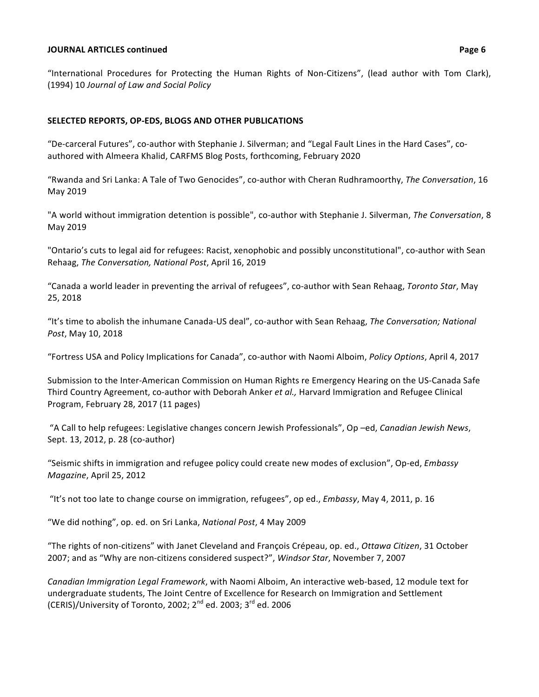#### **JOURNAL ARTICLES continued Page 6**

"International Procedures for Protecting the Human Rights of Non-Citizens", (lead author with Tom Clark), (1994) 10 *Journal of Law and Social Policy*

#### **SELECTED REPORTS, OP-EDS, BLOGS AND OTHER PUBLICATIONS**

"De-carceral Futures", co-author with Stephanie J. Silverman; and "Legal Fault Lines in the Hard Cases", coauthored with Almeera Khalid, CARFMS Blog Posts, forthcoming, February 2020

"Rwanda and Sri Lanka: A Tale of Two Genocides", co-author with Cheran Rudhramoorthy, The Conversation, 16 May 2019

"A world without immigration detention is possible", co-author with Stephanie J. Silverman, *The Conversation*, 8 May 2019

"Ontario's cuts to legal aid for refugees: Racist, xenophobic and possibly unconstitutional", co-author with Sean Rehaag, *The Conversation, National Post*, April 16, 2019

"Canada a world leader in preventing the arrival of refugees", co-author with Sean Rehaag, *Toronto Star*, May 25, 2018

"It's time to abolish the inhumane Canada-US deal", co-author with Sean Rehaag, The Conversation; National *Post*, May 10, 2018

"Fortress USA and Policy Implications for Canada", co-author with Naomi Alboim, *Policy Options*, April 4, 2017

Submission to the Inter-American Commission on Human Rights re Emergency Hearing on the US-Canada Safe Third Country Agreement, co-author with Deborah Anker *et al.*, Harvard Immigration and Refugee Clinical Program, February 28, 2017 (11 pages)

"A Call to help refugees: Legislative changes concern Jewish Professionals", Op -ed, *Canadian Jewish News*, Sept. 13, 2012, p. 28 (co-author)

"Seismic shifts in immigration and refugee policy could create new modes of exclusion", Op-ed, *Embassy Magazine*, April 25, 2012

"It's not too late to change course on immigration, refugees", op ed., *Embassy*, May 4, 2011, p. 16

"We did nothing", op. ed. on Sri Lanka, National Post, 4 May 2009

"The rights of non-citizens" with Janet Cleveland and François Crépeau, op. ed., Ottawa Citizen, 31 October 2007; and as "Why are non-citizens considered suspect?", *Windsor Star*, November 7, 2007

*Canadian Immigration Legal Framework*, with Naomi Alboim, An interactive web-based, 12 module text for undergraduate students, The Joint Centre of Excellence for Research on Immigration and Settlement (CERIS)/University of Toronto, 2002;  $2^{nd}$  ed. 2003;  $3^{rd}$  ed. 2006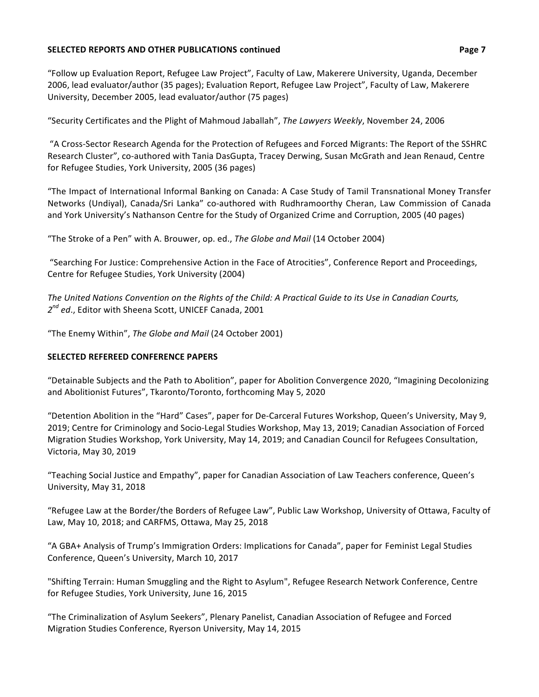#### **SELECTED REPORTS AND OTHER PUBLICATIONS continued <b>Page 7 Page 7**

"Follow up Evaluation Report, Refugee Law Project", Faculty of Law, Makerere University, Uganda, December 2006, lead evaluator/author (35 pages); Evaluation Report, Refugee Law Project", Faculty of Law, Makerere University, December 2005, lead evaluator/author (75 pages)

"Security Certificates and the Plight of Mahmoud Jaballah", The Lawyers Weekly, November 24, 2006

"A Cross-Sector Research Agenda for the Protection of Refugees and Forced Migrants: The Report of the SSHRC Research Cluster", co-authored with Tania DasGupta, Tracey Derwing, Susan McGrath and Jean Renaud, Centre for Refugee Studies, York University, 2005 (36 pages)

"The Impact of International Informal Banking on Canada: A Case Study of Tamil Transnational Money Transfer Networks (Undiyal), Canada/Sri Lanka" co-authored with Rudhramoorthy Cheran, Law Commission of Canada and York University's Nathanson Centre for the Study of Organized Crime and Corruption, 2005 (40 pages)

"The Stroke of a Pen" with A. Brouwer, op. ed., *The Globe and Mail* (14 October 2004)

"Searching For Justice: Comprehensive Action in the Face of Atrocities", Conference Report and Proceedings, Centre for Refugee Studies, York University (2004)

The United Nations Convention on the Rights of the Child: A Practical Guide to its Use in Canadian Courts, 2<sup>nd</sup> ed., Editor with Sheena Scott, UNICEF Canada, 2001

"The Enemy Within", The Globe and Mail (24 October 2001)

# **SELECTED REFEREED CONFERENCE PAPERS**

"Detainable Subjects and the Path to Abolition", paper for Abolition Convergence 2020, "Imagining Decolonizing and Abolitionist Futures", Tkaronto/Toronto, forthcoming May 5, 2020

"Detention Abolition in the "Hard" Cases", paper for De-Carceral Futures Workshop, Queen's University, May 9, 2019; Centre for Criminology and Socio-Legal Studies Workshop, May 13, 2019; Canadian Association of Forced Migration Studies Workshop, York University, May 14, 2019; and Canadian Council for Refugees Consultation, Victoria, May 30, 2019

"Teaching Social Justice and Empathy", paper for Canadian Association of Law Teachers conference, Queen's University, May 31, 2018

"Refugee Law at the Border/the Borders of Refugee Law", Public Law Workshop, University of Ottawa, Faculty of Law, May 10, 2018; and CARFMS, Ottawa, May 25, 2018

"A GBA+ Analysis of Trump's Immigration Orders: Implications for Canada", paper for Feminist Legal Studies Conference, Queen's University, March 10, 2017

"Shifting Terrain: Human Smuggling and the Right to Asylum", Refugee Research Network Conference, Centre for Refugee Studies, York University, June 16, 2015

"The Criminalization of Asylum Seekers", Plenary Panelist, Canadian Association of Refugee and Forced Migration Studies Conference, Ryerson University, May 14, 2015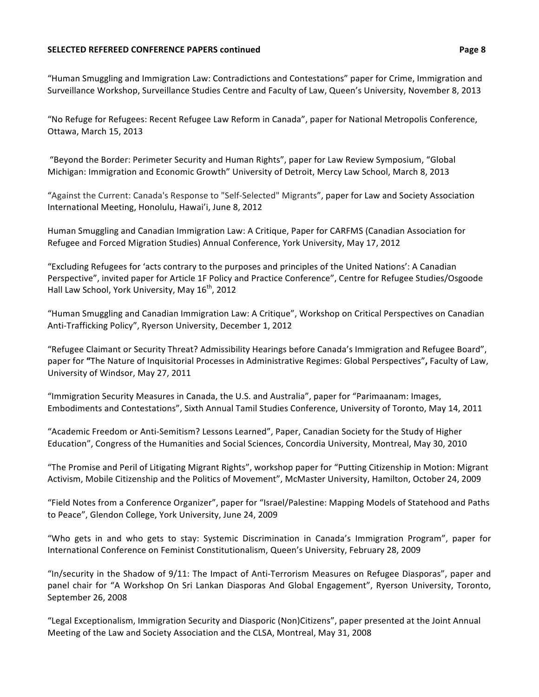#### **SELECTED REFEREED CONFERENCE PAPERS continued <b>ACCESS Page 8 Page 8**

"Human Smuggling and Immigration Law: Contradictions and Contestations" paper for Crime, Immigration and Surveillance Workshop, Surveillance Studies Centre and Faculty of Law, Queen's University, November 8, 2013

"No Refuge for Refugees: Recent Refugee Law Reform in Canada", paper for National Metropolis Conference, Ottawa, March 15, 2013

"Beyond the Border: Perimeter Security and Human Rights", paper for Law Review Symposium, "Global Michigan: Immigration and Economic Growth" University of Detroit, Mercy Law School, March 8, 2013

"Against the Current: Canada's Response to "Self-Selected" Migrants", paper for Law and Society Association International Meeting, Honolulu, Hawai'i, June 8, 2012

Human Smuggling and Canadian Immigration Law: A Critique, Paper for CARFMS (Canadian Association for Refugee and Forced Migration Studies) Annual Conference, York University, May 17, 2012

"Excluding Refugees for 'acts contrary to the purposes and principles of the United Nations': A Canadian Perspective", invited paper for Article 1F Policy and Practice Conference", Centre for Refugee Studies/Osgoode Hall Law School, York University, May 16<sup>th</sup>, 2012

"Human Smuggling and Canadian Immigration Law: A Critique", Workshop on Critical Perspectives on Canadian Anti-Trafficking Policy", Ryerson University, December 1, 2012

"Refugee Claimant or Security Threat? Admissibility Hearings before Canada's Immigration and Refugee Board", paper for "The Nature of Inquisitorial Processes in Administrative Regimes: Global Perspectives", Faculty of Law, University of Windsor, May 27, 2011

"Immigration Security Measures in Canada, the U.S. and Australia", paper for "Parimaanam: Images, Embodiments and Contestations", Sixth Annual Tamil Studies Conference, University of Toronto, May 14, 2011

"Academic Freedom or Anti-Semitism? Lessons Learned", Paper, Canadian Society for the Study of Higher Education", Congress of the Humanities and Social Sciences, Concordia University, Montreal, May 30, 2010

"The Promise and Peril of Litigating Migrant Rights", workshop paper for "Putting Citizenship in Motion: Migrant Activism, Mobile Citizenship and the Politics of Movement", McMaster University, Hamilton, October 24, 2009

"Field Notes from a Conference Organizer", paper for "Israel/Palestine: Mapping Models of Statehood and Paths to Peace", Glendon College, York University, June 24, 2009

"Who gets in and who gets to stay: Systemic Discrimination in Canada's Immigration Program", paper for International Conference on Feminist Constitutionalism, Queen's University, February 28, 2009

"In/security in the Shadow of  $9/11$ : The Impact of Anti-Terrorism Measures on Refugee Diasporas", paper and panel chair for "A Workshop On Sri Lankan Diasporas And Global Engagement", Ryerson University, Toronto, September 26, 2008

"Legal Exceptionalism, Immigration Security and Diasporic (Non)Citizens", paper presented at the Joint Annual Meeting of the Law and Society Association and the CLSA, Montreal, May 31, 2008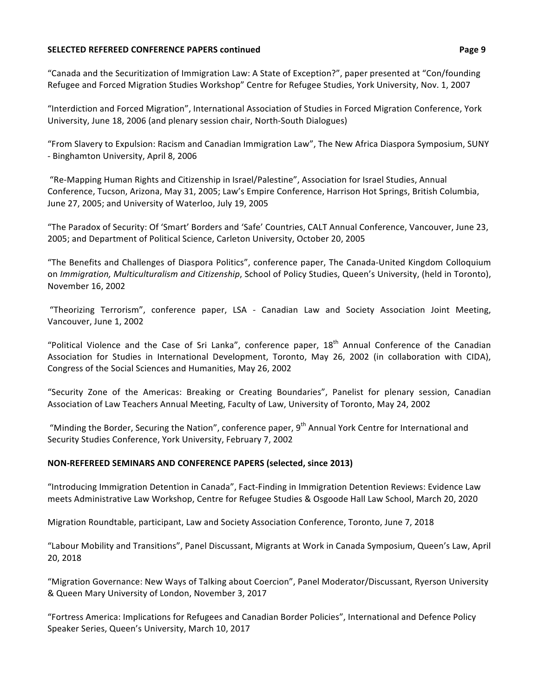#### **SELECTED REFEREED CONFERENCE PAPERS continued <b>ACCESS Page 9 Page 9**

"Canada and the Securitization of Immigration Law: A State of Exception?", paper presented at "Con/founding Refugee and Forced Migration Studies Workshop" Centre for Refugee Studies, York University, Nov. 1, 2007

"Interdiction and Forced Migration", International Association of Studies in Forced Migration Conference, York University, June 18, 2006 (and plenary session chair, North-South Dialogues)

"From Slavery to Expulsion: Racism and Canadian Immigration Law", The New Africa Diaspora Symposium, SUNY - Binghamton University, April 8, 2006

"Re-Mapping Human Rights and Citizenship in Israel/Palestine", Association for Israel Studies, Annual Conference, Tucson, Arizona, May 31, 2005; Law's Empire Conference, Harrison Hot Springs, British Columbia, June 27, 2005; and University of Waterloo, July 19, 2005

"The Paradox of Security: Of 'Smart' Borders and 'Safe' Countries, CALT Annual Conference, Vancouver, June 23, 2005; and Department of Political Science, Carleton University, October 20, 2005

"The Benefits and Challenges of Diaspora Politics", conference paper, The Canada-United Kingdom Colloquium on *Immigration, Multiculturalism and Citizenship*, School of Policy Studies, Queen's University, (held in Toronto), November 16, 2002

"Theorizing Terrorism", conference paper, LSA - Canadian Law and Society Association Joint Meeting, Vancouver, June 1, 2002

"Political Violence and the Case of Sri Lanka", conference paper,  $18<sup>th</sup>$  Annual Conference of the Canadian Association for Studies in International Development, Toronto, May 26, 2002 (in collaboration with CIDA), Congress of the Social Sciences and Humanities, May 26, 2002

"Security Zone of the Americas: Breaking or Creating Boundaries", Panelist for plenary session, Canadian Association of Law Teachers Annual Meeting, Faculty of Law, University of Toronto, May 24, 2002

"Minding the Border, Securing the Nation", conference paper, 9<sup>th</sup> Annual York Centre for International and Security Studies Conference, York University, February 7, 2002

## **NON-REFEREED SEMINARS AND CONFERENCE PAPERS (selected, since 2013)**

"Introducing Immigration Detention in Canada", Fact-Finding in Immigration Detention Reviews: Evidence Law meets Administrative Law Workshop, Centre for Refugee Studies & Osgoode Hall Law School, March 20, 2020

Migration Roundtable, participant, Law and Society Association Conference, Toronto, June 7, 2018

"Labour Mobility and Transitions", Panel Discussant, Migrants at Work in Canada Symposium, Queen's Law, April 20, 2018

"Migration Governance: New Ways of Talking about Coercion", Panel Moderator/Discussant, Ryerson University & Queen Mary University of London, November 3, 2017

"Fortress America: Implications for Refugees and Canadian Border Policies", International and Defence Policy Speaker Series, Queen's University, March 10, 2017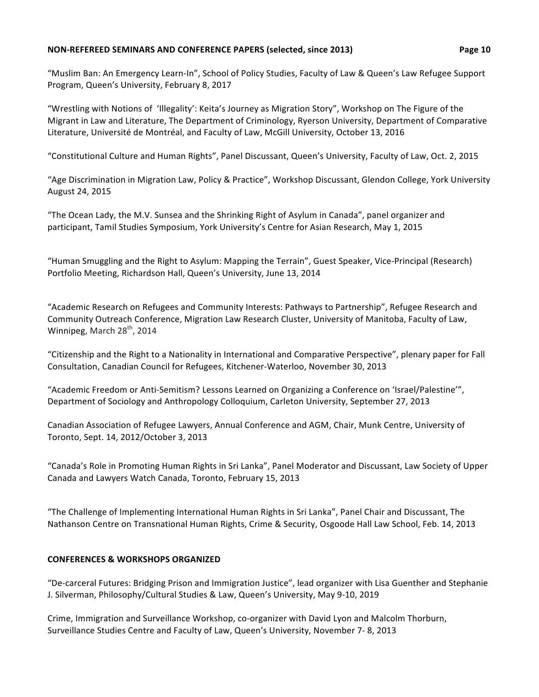#### **NON-REFEREED SEMINARS AND CONFERENCE PAPERS (selected, since 2013) <b>Page 10**

"Muslim Ban: An Emergency Learn-In", School of Policy Studies, Faculty of Law & Queen's Law Refugee Support Program, Queen's University, February 8, 2017

"Wrestling with Notions of 'Illegality': Keita's Journey as Migration Story", Workshop on The Figure of the Migrant in Law and Literature, The Department of Criminology, Ryerson University, Department of Comparative Literature, Université de Montréal, and Faculty of Law, McGill University, October 13, 2016

"Constitutional Culture and Human Rights", Panel Discussant, Queen's University, Faculty of Law, Oct. 2, 2015

"Age Discrimination in Migration Law, Policy & Practice", Workshop Discussant, Glendon College, York University August 24, 2015

"The Ocean Lady, the M.V. Sunsea and the Shrinking Right of Asylum in Canada", panel organizer and participant, Tamil Studies Symposium, York University's Centre for Asian Research, May 1, 2015

"Human Smuggling and the Right to Asylum: Mapping the Terrain", Guest Speaker, Vice-Principal (Research) Portfolio Meeting, Richardson Hall, Queen's University, June 13, 2014

"Academic Research on Refugees and Community Interests: Pathways to Partnership", Refugee Research and Community Outreach Conference, Migration Law Research Cluster, University of Manitoba, Faculty of Law, Winnipeg, March  $28<sup>th</sup>$ , 2014

"Citizenship and the Right to a Nationality in International and Comparative Perspective", plenary paper for Fall Consultation, Canadian Council for Refugees, Kitchener-Waterloo, November 30, 2013

"Academic Freedom or Anti-Semitism? Lessons Learned on Organizing a Conference on 'Israel/Palestine'", Department of Sociology and Anthropology Colloquium, Carleton University, September 27, 2013

Canadian Association of Refugee Lawyers, Annual Conference and AGM, Chair, Munk Centre, University of Toronto, Sept. 14, 2012/October 3, 2013

"Canada's Role in Promoting Human Rights in Sri Lanka", Panel Moderator and Discussant, Law Society of Upper Canada and Lawyers Watch Canada, Toronto, February 15, 2013

"The Challenge of Implementing International Human Rights in Sri Lanka", Panel Chair and Discussant, The Nathanson Centre on Transnational Human Rights, Crime & Security, Osgoode Hall Law School, Feb. 14, 2013

# **CONFERENCES & WORKSHOPS ORGANIZED**

"De-carceral Futures: Bridging Prison and Immigration Justice", lead organizer with Lisa Guenther and Stephanie J. Silverman, Philosophy/Cultural Studies & Law, Queen's University, May 9-10, 2019

Crime, Immigration and Surveillance Workshop, co-organizer with David Lyon and Malcolm Thorburn, Surveillance Studies Centre and Faculty of Law, Queen's University, November 7- 8, 2013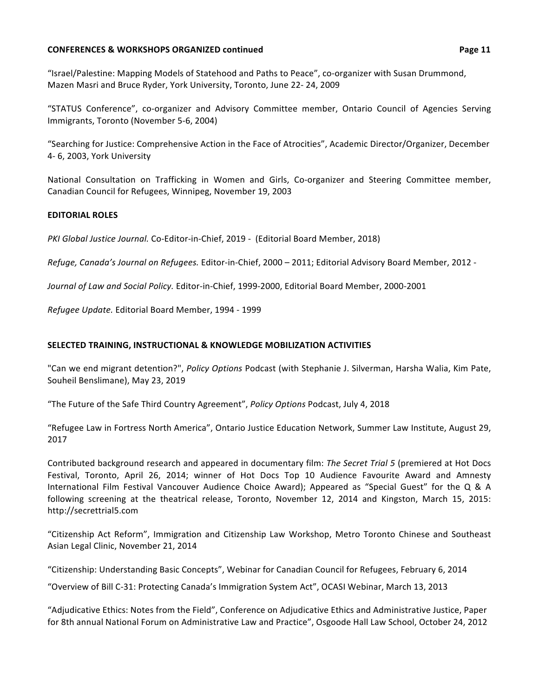#### **CONFERENCES & WORKSHOPS ORGANIZED continued <b>Page 11 Page 11**

"Israel/Palestine: Mapping Models of Statehood and Paths to Peace", co-organizer with Susan Drummond, Mazen Masri and Bruce Ryder, York University, Toronto, June 22- 24, 2009

"STATUS Conference", co-organizer and Advisory Committee member, Ontario Council of Agencies Serving Immigrants, Toronto (November 5-6, 2004)

"Searching for Justice: Comprehensive Action in the Face of Atrocities", Academic Director/Organizer, December 4- 6, 2003, York University

National Consultation on Trafficking in Women and Girls, Co-organizer and Steering Committee member, Canadian Council for Refugees, Winnipeg, November 19, 2003

## **EDITORIAL ROLES**

*PKI Global Justice Journal.* Co-Editor-in-Chief, 2019 - (Editorial Board Member, 2018)

*Refuge, Canada's Journal on Refugees.* Editor-in-Chief, 2000 – 2011; Editorial Advisory Board Member, 2012 -

Journal of Law and Social Policy. Editor-in-Chief, 1999-2000, Editorial Board Member, 2000-2001

*Refugee Update.* Editorial Board Member, 1994 - 1999

## **SELECTED TRAINING, INSTRUCTIONAL & KNOWLEDGE MOBILIZATION ACTIVITIES**

"Can we end migrant detention?", *Policy Options* Podcast (with Stephanie J. Silverman, Harsha Walia, Kim Pate, Souheil Benslimane), May 23, 2019

"The Future of the Safe Third Country Agreement", *Policy Options* Podcast, July 4, 2018

"Refugee Law in Fortress North America", Ontario Justice Education Network, Summer Law Institute, August 29, 2017

Contributed background research and appeared in documentary film: *The Secret Trial 5* (premiered at Hot Docs Festival, Toronto, April 26, 2014; winner of Hot Docs Top 10 Audience Favourite Award and Amnesty International Film Festival Vancouver Audience Choice Award); Appeared as "Special Guest" for the Q & A following screening at the theatrical release, Toronto, November 12, 2014 and Kingston, March 15, 2015: http://secrettrial5.com

"Citizenship Act Reform", Immigration and Citizenship Law Workshop, Metro Toronto Chinese and Southeast Asian Legal Clinic, November 21, 2014

"Citizenship: Understanding Basic Concepts", Webinar for Canadian Council for Refugees, February 6, 2014

"Overview of Bill C-31: Protecting Canada's Immigration System Act", OCASI Webinar, March 13, 2013

"Adjudicative Ethics: Notes from the Field", Conference on Adjudicative Ethics and Administrative Justice, Paper for 8th annual National Forum on Administrative Law and Practice", Osgoode Hall Law School, October 24, 2012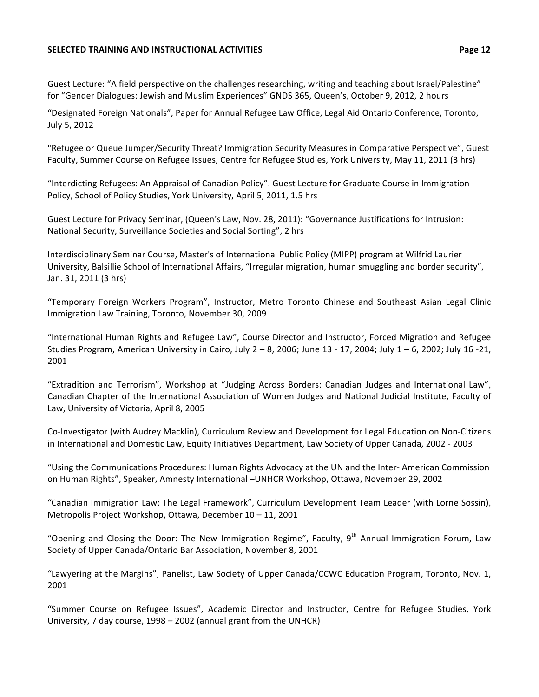#### **SELECTED TRAINING AND INSTRUCTIONAL ACTIVITIES <b>Page 12**

Guest Lecture: "A field perspective on the challenges researching, writing and teaching about Israel/Palestine" for "Gender Dialogues: Jewish and Muslim Experiences" GNDS 365, Queen's, October 9, 2012, 2 hours

"Designated Foreign Nationals", Paper for Annual Refugee Law Office, Legal Aid Ontario Conference, Toronto, July 5, 2012

"Refugee or Queue Jumper/Security Threat? Immigration Security Measures in Comparative Perspective", Guest Faculty, Summer Course on Refugee Issues, Centre for Refugee Studies, York University, May 11, 2011 (3 hrs)

"Interdicting Refugees: An Appraisal of Canadian Policy". Guest Lecture for Graduate Course in Immigration Policy, School of Policy Studies, York University, April 5, 2011, 1.5 hrs

Guest Lecture for Privacy Seminar, (Queen's Law, Nov. 28, 2011): "Governance Justifications for Intrusion: National Security, Surveillance Societies and Social Sorting", 2 hrs

Interdisciplinary Seminar Course, Master's of International Public Policy (MIPP) program at Wilfrid Laurier University, Balsillie School of International Affairs, "Irregular migration, human smuggling and border security", Jan. 31, 2011 (3 hrs)

"Temporary Foreign Workers Program", Instructor, Metro Toronto Chinese and Southeast Asian Legal Clinic Immigration Law Training, Toronto, November 30, 2009

"International Human Rights and Refugee Law", Course Director and Instructor, Forced Migration and Refugee Studies Program, American University in Cairo, July  $2 - 8$ , 2006; June  $13 - 17$ , 2004; July  $1 - 6$ , 2002; July 16 -21, 2001 

"Extradition and Terrorism", Workshop at "Judging Across Borders: Canadian Judges and International Law", Canadian Chapter of the International Association of Women Judges and National Judicial Institute, Faculty of Law, University of Victoria, April 8, 2005

Co-Investigator (with Audrey Macklin), Curriculum Review and Development for Legal Education on Non-Citizens in International and Domestic Law, Equity Initiatives Department, Law Society of Upper Canada, 2002 - 2003

"Using the Communications Procedures: Human Rights Advocacy at the UN and the Inter- American Commission on Human Rights", Speaker, Amnesty International -UNHCR Workshop, Ottawa, November 29, 2002

"Canadian Immigration Law: The Legal Framework", Curriculum Development Team Leader (with Lorne Sossin), Metropolis Project Workshop, Ottawa, December 10 - 11, 2001

"Opening and Closing the Door: The New Immigration Regime", Faculty,  $9<sup>th</sup>$  Annual Immigration Forum, Law Society of Upper Canada/Ontario Bar Association, November 8, 2001

"Lawyering at the Margins", Panelist, Law Society of Upper Canada/CCWC Education Program, Toronto, Nov. 1, 2001

"Summer Course on Refugee Issues", Academic Director and Instructor, Centre for Refugee Studies, York University, 7 day course, 1998 – 2002 (annual grant from the UNHCR)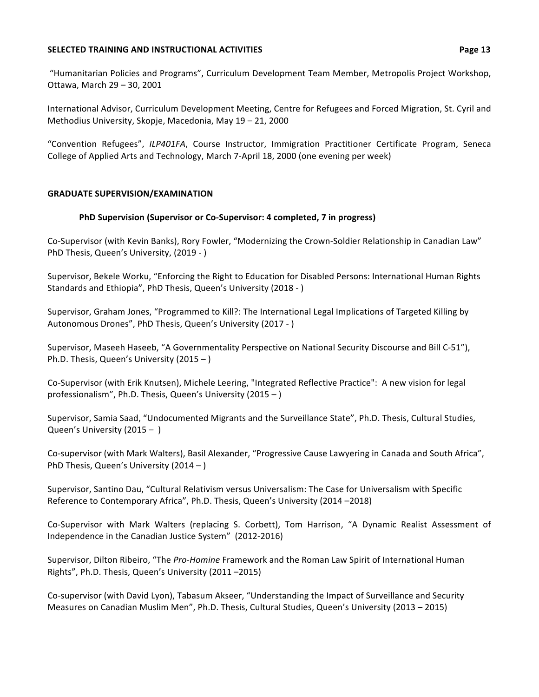#### **SELECTED TRAINING AND INSTRUCTIONAL ACTIVITIES** *Page 13*

"Humanitarian Policies and Programs", Curriculum Development Team Member, Metropolis Project Workshop, Ottawa, March 29 - 30, 2001

International Advisor, Curriculum Development Meeting, Centre for Refugees and Forced Migration, St. Cyril and Methodius University, Skopje, Macedonia, May 19 - 21, 2000

"Convention Refugees", ILP401FA, Course Instructor, Immigration Practitioner Certificate Program, Seneca College of Applied Arts and Technology, March 7-April 18, 2000 (one evening per week)

## **GRADUATE SUPERVISION/EXAMINATION**

## **PhD Supervision (Supervisor or Co-Supervisor: 4 completed, 7 in progress)**

Co-Supervisor (with Kevin Banks), Rory Fowler, "Modernizing the Crown-Soldier Relationship in Canadian Law" PhD Thesis, Queen's University, (2019 - )

Supervisor, Bekele Worku, "Enforcing the Right to Education for Disabled Persons: International Human Rights Standards and Ethiopia", PhD Thesis, Queen's University (2018 - )

Supervisor, Graham Jones, "Programmed to Kill?: The International Legal Implications of Targeted Killing by Autonomous Drones", PhD Thesis, Queen's University (2017 - )

Supervisor, Maseeh Haseeb, "A Governmentality Perspective on National Security Discourse and Bill C-51"), Ph.D. Thesis, Queen's University  $(2015 - )$ 

Co-Supervisor (with Erik Knutsen), Michele Leering, "Integrated Reflective Practice": A new vision for legal professionalism", Ph.D. Thesis, Queen's University  $(2015 - )$ 

Supervisor, Samia Saad, "Undocumented Migrants and the Surveillance State", Ph.D. Thesis, Cultural Studies, Queen's University  $(2015 - )$ 

Co-supervisor (with Mark Walters), Basil Alexander, "Progressive Cause Lawyering in Canada and South Africa", PhD Thesis, Queen's University  $(2014 - )$ 

Supervisor, Santino Dau, "Cultural Relativism versus Universalism: The Case for Universalism with Specific Reference to Contemporary Africa", Ph.D. Thesis, Queen's University (2014 -2018)

Co-Supervisor with Mark Walters (replacing S. Corbett), Tom Harrison, "A Dynamic Realist Assessment of Independence in the Canadian Justice System" (2012-2016)

Supervisor, Dilton Ribeiro, "The *Pro-Homine* Framework and the Roman Law Spirit of International Human Rights", Ph.D. Thesis, Queen's University (2011-2015)

Co-supervisor (with David Lyon), Tabasum Akseer, "Understanding the Impact of Surveillance and Security Measures on Canadian Muslim Men", Ph.D. Thesis, Cultural Studies, Queen's University (2013 – 2015)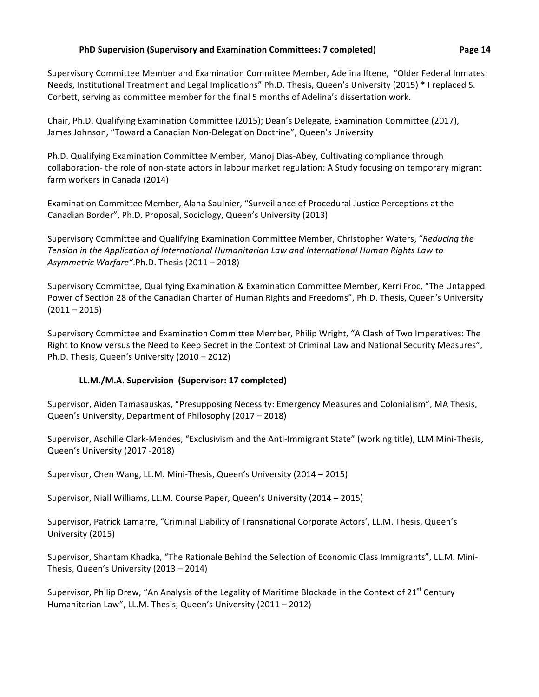Corbett, serving as committee member for the final 5 months of Adelina's dissertation work.

Supervisory Committee Member and Examination Committee Member, Adelina Iftene, "Older Federal Inmates: Needs, Institutional Treatment and Legal Implications" Ph.D. Thesis, Queen's University (2015) \* I replaced S.

Chair, Ph.D. Qualifying Examination Committee (2015); Dean's Delegate, Examination Committee (2017), James Johnson, "Toward a Canadian Non-Delegation Doctrine", Queen's University

Ph.D. Qualifying Examination Committee Member, Manoj Dias-Abey, Cultivating compliance through collaboration- the role of non-state actors in labour market regulation: A Study focusing on temporary migrant farm workers in Canada (2014)

Examination Committee Member, Alana Saulnier, "Surveillance of Procedural Justice Perceptions at the Canadian Border", Ph.D. Proposal, Sociology, Queen's University (2013)

Supervisory Committee and Qualifying Examination Committee Member, Christopher Waters, "Reducing the Tension in the Application of International Humanitarian Law and International Human Rights Law to Asymmetric Warfare".Ph.D. Thesis (2011 – 2018)

Supervisory Committee, Qualifying Examination & Examination Committee Member, Kerri Froc, "The Untapped Power of Section 28 of the Canadian Charter of Human Rights and Freedoms", Ph.D. Thesis, Queen's University  $(2011 - 2015)$ 

Supervisory Committee and Examination Committee Member, Philip Wright, "A Clash of Two Imperatives: The Right to Know versus the Need to Keep Secret in the Context of Criminal Law and National Security Measures", Ph.D. Thesis, Queen's University (2010 – 2012)

# **LL.M./M.A. Supervision (Supervisor: 17 completed)**

Supervisor, Aiden Tamasauskas, "Presupposing Necessity: Emergency Measures and Colonialism", MA Thesis, Queen's University, Department of Philosophy (2017 – 2018)

Supervisor, Aschille Clark-Mendes, "Exclusivism and the Anti-Immigrant State" (working title), LLM Mini-Thesis, Queen's University (2017 -2018)

Supervisor, Chen Wang, LL.M. Mini-Thesis, Queen's University (2014 – 2015)

Supervisor, Niall Williams, LL.M. Course Paper, Queen's University (2014 – 2015)

Supervisor, Patrick Lamarre, "Criminal Liability of Transnational Corporate Actors', LL.M. Thesis, Queen's University (2015)

Supervisor, Shantam Khadka, "The Rationale Behind the Selection of Economic Class Immigrants", LL.M. Mini-Thesis, Queen's University (2013 – 2014)

Supervisor, Philip Drew, "An Analysis of the Legality of Maritime Blockade in the Context of 21<sup>st</sup> Century Humanitarian Law", LL.M. Thesis, Queen's University (2011 – 2012)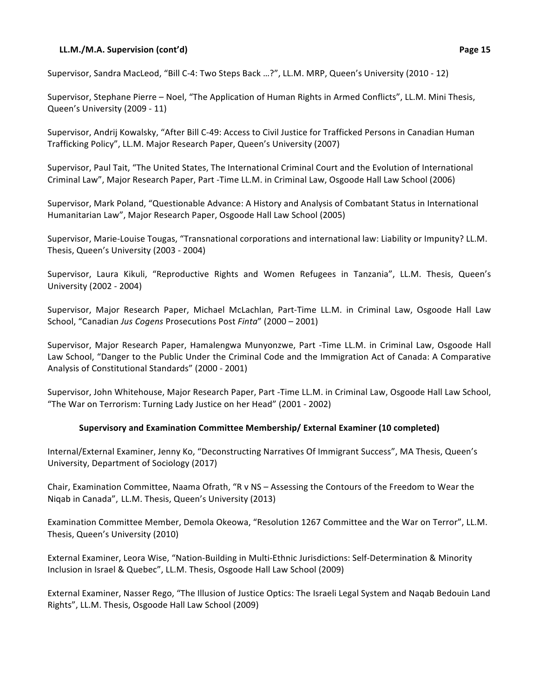#### **LL.M./M.A. Supervision (cont'd) Page 15**

Supervisor, Sandra MacLeod, "Bill C-4: Two Steps Back ...?", LL.M. MRP, Queen's University (2010 - 12)

Supervisor, Stephane Pierre – Noel, "The Application of Human Rights in Armed Conflicts", LL.M. Mini Thesis, Queen's University (2009 - 11)

Supervisor, Andrij Kowalsky, "After Bill C-49: Access to Civil Justice for Trafficked Persons in Canadian Human Trafficking Policy", LL.M. Major Research Paper, Queen's University (2007)

Supervisor, Paul Tait, "The United States, The International Criminal Court and the Evolution of International Criminal Law", Major Research Paper, Part -Time LL.M. in Criminal Law, Osgoode Hall Law School (2006)

Supervisor, Mark Poland, "Questionable Advance: A History and Analysis of Combatant Status in International Humanitarian Law", Major Research Paper, Osgoode Hall Law School (2005)

Supervisor, Marie-Louise Tougas, "Transnational corporations and international law: Liability or Impunity? LL.M. Thesis, Queen's University (2003 - 2004)

Supervisor, Laura Kikuli, "Reproductive Rights and Women Refugees in Tanzania", LL.M. Thesis, Queen's University (2002 - 2004)

Supervisor, Major Research Paper, Michael McLachlan, Part-Time LL.M. in Criminal Law, Osgoode Hall Law School, "Canadian Jus Cogens Prosecutions Post Finta" (2000 – 2001)

Supervisor, Major Research Paper, Hamalengwa Munyonzwe, Part -Time LL.M. in Criminal Law, Osgoode Hall Law School, "Danger to the Public Under the Criminal Code and the Immigration Act of Canada: A Comparative Analysis of Constitutional Standards" (2000 - 2001)

Supervisor, John Whitehouse, Major Research Paper, Part -Time LL.M. in Criminal Law, Osgoode Hall Law School, "The War on Terrorism: Turning Lady Justice on her Head" (2001 - 2002)

## Supervisory and Examination Committee Membership/ External Examiner (10 completed)

Internal/External Examiner, Jenny Ko, "Deconstructing Narratives Of Immigrant Success", MA Thesis, Queen's University, Department of Sociology (2017)

Chair, Examination Committee, Naama Ofrath, "R v NS - Assessing the Contours of the Freedom to Wear the Niqab in Canada", LL.M. Thesis, Queen's University (2013)

Examination Committee Member, Demola Okeowa, "Resolution 1267 Committee and the War on Terror", LL.M. Thesis, Queen's University (2010)

External Examiner, Leora Wise, "Nation-Building in Multi-Ethnic Jurisdictions: Self-Determination & Minority Inclusion in Israel & Quebec", LL.M. Thesis, Osgoode Hall Law School (2009)

External Examiner, Nasser Rego, "The Illusion of Justice Optics: The Israeli Legal System and Naqab Bedouin Land Rights", LL.M. Thesis, Osgoode Hall Law School (2009)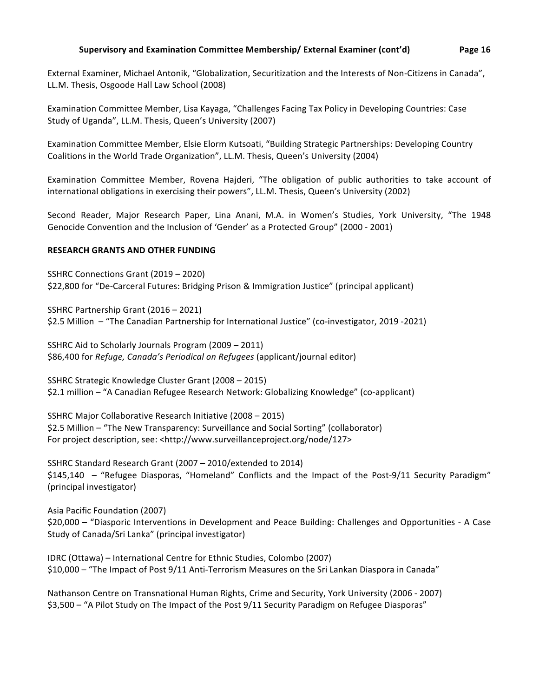External Examiner, Michael Antonik, "Globalization, Securitization and the Interests of Non-Citizens in Canada", LL.M. Thesis, Osgoode Hall Law School (2008)

Examination Committee Member, Lisa Kayaga, "Challenges Facing Tax Policy in Developing Countries: Case Study of Uganda", LL.M. Thesis, Queen's University (2007)

Examination Committee Member, Elsie Elorm Kutsoati, "Building Strategic Partnerships: Developing Country Coalitions in the World Trade Organization", LL.M. Thesis, Queen's University (2004)

Examination Committee Member, Rovena Hajderi, "The obligation of public authorities to take account of international obligations in exercising their powers", LL.M. Thesis, Queen's University (2002)

Second Reader, Major Research Paper, Lina Anani, M.A. in Women's Studies, York University, "The 1948 Genocide Convention and the Inclusion of 'Gender' as a Protected Group" (2000 - 2001)

#### **RESEARCH GRANTS AND OTHER FUNDING**

SSHRC Connections Grant (2019 – 2020) \$22,800 for "De-Carceral Futures: Bridging Prison & Immigration Justice" (principal applicant)

SSHRC Partnership Grant (2016 – 2021) \$2.5 Million – "The Canadian Partnership for International Justice" (co-investigator, 2019 -2021)

SSHRC Aid to Scholarly Journals Program  $(2009 - 2011)$ \$86,400 for *Refuge, Canada's Periodical on Refugees* (applicant/journal editor)

SSHRC Strategic Knowledge Cluster Grant (2008 – 2015) \$2.1 million - "A Canadian Refugee Research Network: Globalizing Knowledge" (co-applicant)

SSHRC Major Collaborative Research Initiative (2008 – 2015) \$2.5 Million – "The New Transparency: Surveillance and Social Sorting" (collaborator) For project description, see: <http://www.surveillanceproject.org/node/127>

SSHRC Standard Research Grant (2007 – 2010/extended to 2014)  $$145,140$  - "Refugee Diasporas, "Homeland" Conflicts and the Impact of the Post-9/11 Security Paradigm" (principal investigator)

Asia Pacific Foundation (2007) \$20,000 - "Diasporic Interventions in Development and Peace Building: Challenges and Opportunities - A Case Study of Canada/Sri Lanka" (principal investigator)

IDRC (Ottawa) - International Centre for Ethnic Studies, Colombo (2007) \$10,000 – "The Impact of Post 9/11 Anti-Terrorism Measures on the Sri Lankan Diaspora in Canada"

Nathanson Centre on Transnational Human Rights, Crime and Security, York University (2006 - 2007) \$3,500 - "A Pilot Study on The Impact of the Post 9/11 Security Paradigm on Refugee Diasporas"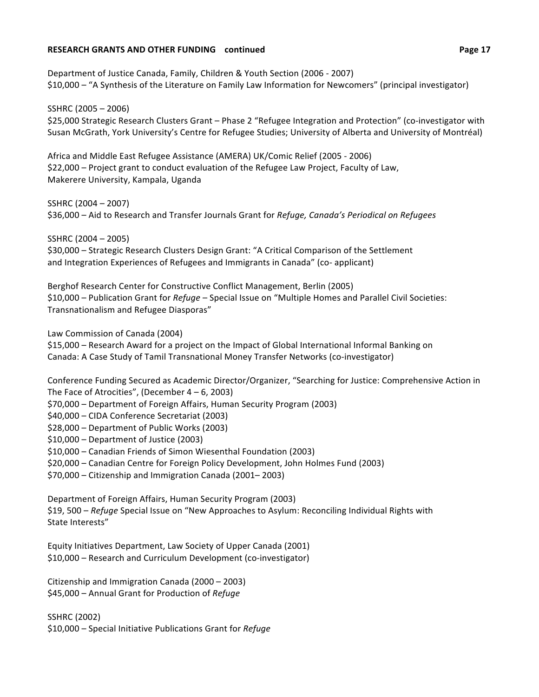#### **RESEARCH GRANTS AND OTHER FUNDING** continued *CONDITY CONDITY CONDITY CONDITY CONDITY CONDITY CONDITY CONDITY CONDITY* **CONDITIONAL PAGE 17**

Department of Justice Canada, Family, Children & Youth Section (2006 - 2007) \$10,000 – "A Synthesis of the Literature on Family Law Information for Newcomers" (principal investigator)

SSHRC (2005 - 2006) \$25,000 Strategic Research Clusters Grant - Phase 2 "Refugee Integration and Protection" (co-investigator with Susan McGrath, York University's Centre for Refugee Studies; University of Alberta and University of Montréal)

Africa and Middle East Refugee Assistance (AMERA) UK/Comic Relief (2005 - 2006) \$22,000 – Project grant to conduct evaluation of the Refugee Law Project, Faculty of Law, Makerere University, Kampala, Uganda

SSHRC (2004 – 2007) \$36,000 – Aid to Research and Transfer Journals Grant for *Refuge, Canada's Periodical on Refugees* 

SSHRC (2004 - 2005) \$30,000 – Strategic Research Clusters Design Grant: "A Critical Comparison of the Settlement and Integration Experiences of Refugees and Immigrants in Canada" (co- applicant)

Berghof Research Center for Constructive Conflict Management, Berlin (2005) \$10,000 – Publication Grant for *Refuge* – Special Issue on "Multiple Homes and Parallel Civil Societies: Transnationalism and Refugee Diasporas"

Law Commission of Canada (2004)

\$15,000 – Research Award for a project on the Impact of Global International Informal Banking on Canada: A Case Study of Tamil Transnational Money Transfer Networks (co-investigator)

Conference Funding Secured as Academic Director/Organizer, "Searching for Justice: Comprehensive Action in The Face of Atrocities", (December  $4 - 6$ , 2003)

\$70,000 – Department of Foreign Affairs, Human Security Program (2003)

\$40,000 - CIDA Conference Secretariat (2003)

\$28,000 – Department of Public Works (2003)

 $$10,000$  – Department of Justice (2003)

\$10,000 – Canadian Friends of Simon Wiesenthal Foundation (2003)

\$20,000 - Canadian Centre for Foreign Policy Development, John Holmes Fund (2003)

\$70,000 – Citizenship and Immigration Canada (2001–2003)

Department of Foreign Affairs, Human Security Program (2003) \$19, 500 – *Refuge* Special Issue on "New Approaches to Asylum: Reconciling Individual Rights with State Interests"

Equity Initiatives Department, Law Society of Upper Canada (2001) \$10,000 - Research and Curriculum Development (co-investigator)

Citizenship and Immigration Canada (2000 – 2003) \$45,000 – Annual Grant for Production of *Refuge* 

SSHRC (2002) \$10,000 - Special Initiative Publications Grant for *Refuge*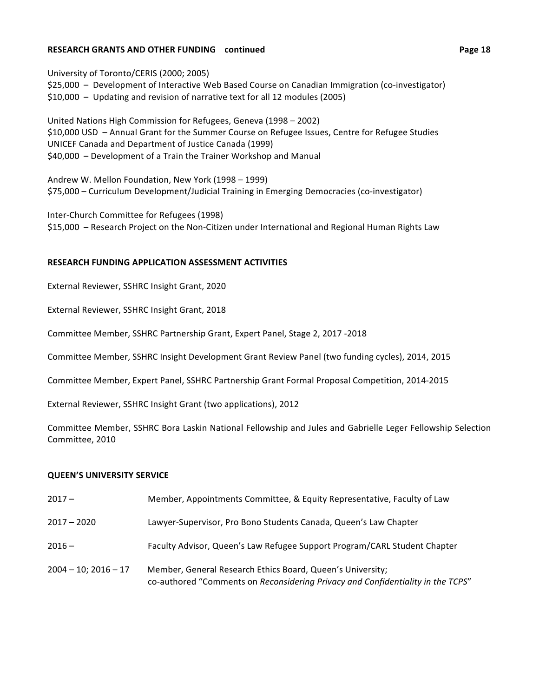#### **RESEARCH GRANTS AND OTHER FUNDING** continued *CONDITY CONDITY CONDITY CONDITY CONDITY CONDITY CONDITY CONDITY CONDITY* **CONDITIONAL PAGE 18**

University of Toronto/CERIS (2000; 2005) \$25,000 - Development of Interactive Web Based Course on Canadian Immigration (co-investigator)  $$10,000$  – Updating and revision of narrative text for all 12 modules (2005)

United Nations High Commission for Refugees, Geneva (1998 – 2002) \$10,000 USD - Annual Grant for the Summer Course on Refugee Issues, Centre for Refugee Studies UNICEF Canada and Department of Justice Canada (1999)  $$40,000$  – Development of a Train the Trainer Workshop and Manual

Andrew W. Mellon Foundation, New York (1998 – 1999) \$75,000 - Curriculum Development/Judicial Training in Emerging Democracies (co-investigator)

Inter-Church Committee for Refugees (1998) \$15,000 - Research Project on the Non-Citizen under International and Regional Human Rights Law

#### **RESEARCH FUNDING APPLICATION ASSESSMENT ACTIVITIES**

External Reviewer, SSHRC Insight Grant, 2020

External Reviewer, SSHRC Insight Grant, 2018

Committee Member, SSHRC Partnership Grant, Expert Panel, Stage 2, 2017 -2018

Committee Member, SSHRC Insight Development Grant Review Panel (two funding cycles), 2014, 2015

Committee Member, Expert Panel, SSHRC Partnership Grant Formal Proposal Competition, 2014-2015

External Reviewer, SSHRC Insight Grant (two applications), 2012

Committee Member, SSHRC Bora Laskin National Fellowship and Jules and Gabrielle Leger Fellowship Selection Committee, 2010

#### **QUEEN'S UNIVERSITY SERVICE**

- 2017 **Member, Appointments Committee, & Equity Representative, Faculty of Law**
- 2017 2020 Lawyer-Supervisor, Pro Bono Students Canada, Queen's Law Chapter
- 2016 Faculty Advisor, Queen's Law Refugee Support Program/CARL Student Chapter
- 2004 10; 2016 17 Member, General Research Ethics Board, Queen's University; co-authored "Comments on *Reconsidering Privacy and Confidentiality in the TCPS"*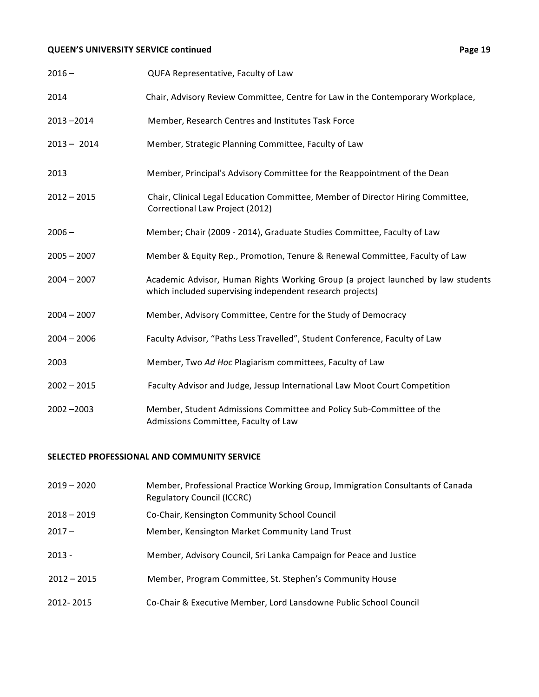# **QUEEN'S UNIVERSITY SERVICE continued CONTEX CONTROLLY ASSESSED PAGE 19**

| $2016 -$      | QUFA Representative, Faculty of Law                                                                                                           |
|---------------|-----------------------------------------------------------------------------------------------------------------------------------------------|
| 2014          | Chair, Advisory Review Committee, Centre for Law in the Contemporary Workplace,                                                               |
| $2013 - 2014$ | Member, Research Centres and Institutes Task Force                                                                                            |
| $2013 - 2014$ | Member, Strategic Planning Committee, Faculty of Law                                                                                          |
| 2013          | Member, Principal's Advisory Committee for the Reappointment of the Dean                                                                      |
| $2012 - 2015$ | Chair, Clinical Legal Education Committee, Member of Director Hiring Committee,<br>Correctional Law Project (2012)                            |
| $2006 -$      | Member; Chair (2009 - 2014), Graduate Studies Committee, Faculty of Law                                                                       |
| $2005 - 2007$ | Member & Equity Rep., Promotion, Tenure & Renewal Committee, Faculty of Law                                                                   |
| $2004 - 2007$ | Academic Advisor, Human Rights Working Group (a project launched by law students<br>which included supervising independent research projects) |
| $2004 - 2007$ | Member, Advisory Committee, Centre for the Study of Democracy                                                                                 |
| $2004 - 2006$ | Faculty Advisor, "Paths Less Travelled", Student Conference, Faculty of Law                                                                   |
| 2003          | Member, Two Ad Hoc Plagiarism committees, Faculty of Law                                                                                      |
| $2002 - 2015$ | Faculty Advisor and Judge, Jessup International Law Moot Court Competition                                                                    |
| $2002 - 2003$ | Member, Student Admissions Committee and Policy Sub-Committee of the<br>Admissions Committee, Faculty of Law                                  |

## **SELECTED PROFESSIONAL AND COMMUNITY SERVICE**

| $2019 - 2020$ | Member, Professional Practice Working Group, Immigration Consultants of Canada<br><b>Regulatory Council (ICCRC)</b> |
|---------------|---------------------------------------------------------------------------------------------------------------------|
| $2018 - 2019$ | Co-Chair, Kensington Community School Council                                                                       |
| $2017 -$      | Member, Kensington Market Community Land Trust                                                                      |
| $2013 -$      | Member, Advisory Council, Sri Lanka Campaign for Peace and Justice                                                  |
| $2012 - 2015$ | Member, Program Committee, St. Stephen's Community House                                                            |
| 2012-2015     | Co-Chair & Executive Member, Lord Lansdowne Public School Council                                                   |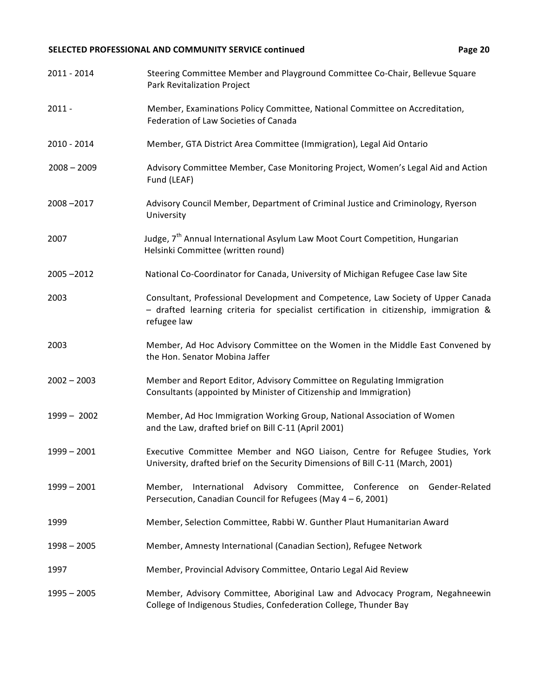# SELECTED PROFESSIONAL AND COMMUNITY SERVICE continued **1999 20 Page 20**

| 2011 - 2014   | Steering Committee Member and Playground Committee Co-Chair, Bellevue Square<br>Park Revitalization Project                                                                               |
|---------------|-------------------------------------------------------------------------------------------------------------------------------------------------------------------------------------------|
| $2011 -$      | Member, Examinations Policy Committee, National Committee on Accreditation,<br>Federation of Law Societies of Canada                                                                      |
| 2010 - 2014   | Member, GTA District Area Committee (Immigration), Legal Aid Ontario                                                                                                                      |
| $2008 - 2009$ | Advisory Committee Member, Case Monitoring Project, Women's Legal Aid and Action<br>Fund (LEAF)                                                                                           |
| 2008-2017     | Advisory Council Member, Department of Criminal Justice and Criminology, Ryerson<br>University                                                                                            |
| 2007          | Judge, 7 <sup>th</sup> Annual International Asylum Law Moot Court Competition, Hungarian<br>Helsinki Committee (written round)                                                            |
| $2005 - 2012$ | National Co-Coordinator for Canada, University of Michigan Refugee Case law Site                                                                                                          |
| 2003          | Consultant, Professional Development and Competence, Law Society of Upper Canada<br>- drafted learning criteria for specialist certification in citizenship, immigration &<br>refugee law |
| 2003          | Member, Ad Hoc Advisory Committee on the Women in the Middle East Convened by<br>the Hon. Senator Mobina Jaffer                                                                           |
| $2002 - 2003$ | Member and Report Editor, Advisory Committee on Regulating Immigration<br>Consultants (appointed by Minister of Citizenship and Immigration)                                              |
| $1999 - 2002$ | Member, Ad Hoc Immigration Working Group, National Association of Women<br>and the Law, drafted brief on Bill C-11 (April 2001)                                                           |
| $1999 - 2001$ | Executive Committee Member and NGO Liaison, Centre for Refugee Studies, York<br>University, drafted brief on the Security Dimensions of Bill C-11 (March, 2001)                           |
| $1999 - 2001$ | International Advisory Committee, Conference on Gender-Related<br>Member,<br>Persecution, Canadian Council for Refugees (May 4 - 6, 2001)                                                 |
| 1999          | Member, Selection Committee, Rabbi W. Gunther Plaut Humanitarian Award                                                                                                                    |
| $1998 - 2005$ | Member, Amnesty International (Canadian Section), Refugee Network                                                                                                                         |
| 1997          | Member, Provincial Advisory Committee, Ontario Legal Aid Review                                                                                                                           |
| $1995 - 2005$ | Member, Advisory Committee, Aboriginal Law and Advocacy Program, Negahneewin<br>College of Indigenous Studies, Confederation College, Thunder Bay                                         |